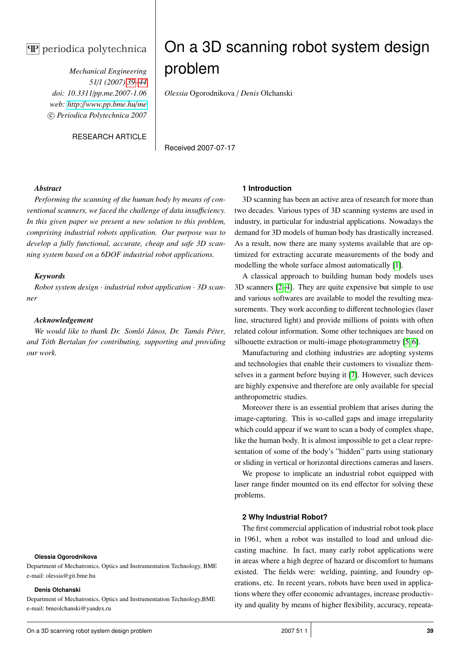# $\mathbf{\overline{P}}$  periodica polytechnica

*Mechanical Engineering 51*/*1 (2007) 39–44 doi: 10.3311*/*pp.me.2007-1.06 web: http:*//*[www.pp.bme.hu](http://www.pp.bme.hu/me)*/*me* c *Periodica Polytechnica 2007*

RESEARCH ARTICLE

# On a 3D scanning robot system design problem

*Olessia* Ogorodnikova / *Denis* Olchanski

Received 2007-07-17

#### *Abstract*

*Performing the scanning of the human body by means of conventional scanners, we faced the challenge of data insu*ffi*ciency. In this given paper we present a new solution to this problem, comprising industrial robots application. Our purpose was to develop a fully functional, accurate, cheap and safe 3D scanning system based on a 6DOF industrial robot applications.*

# *Keywords*

*Robot system design* · *industrial robot application* · *3D scanner*

# *Acknowledgement*

*We would like to thank Dr. Somló János, Dr. Tamás Péter, and Tóth Bertalan for contributing, supporting and providing our work.*

#### **Olessia Ogorodnikova**

Department of Mechatronics, Optics and Instrumentation Technology, BME e-mail: olessia@git.bme.hu

#### **Denis Olchanski**

Department of Mechatronics, Optics and Instrumentation Technology,BME e-mail: bmeolchanski@yandex.ru

#### **1 Introduction**

3D scanning has been an active area of research for more than two decades. Various types of 3D scanning systems are used in industry, in particular for industrial applications. Nowadays the demand for 3D models of human body has drastically increased. As a result, now there are many systems available that are optimized for extracting accurate measurements of the body and modelling the whole surface almost automatically [\[1\]](#page-5-0).

A classical approach to building human body models uses 3D scanners [\[2–](#page-5-1)[4\]](#page-5-2). They are quite expensive but simple to use and various softwares are available to model the resulting measurements. They work according to different technologies (laser line, structured light) and provide millions of points with often related colour information. Some other techniques are based on silhouette extraction or multi-image photogrammetry [\[5,](#page-5-3) [6\]](#page-5-4).

Manufacturing and clothing industries are adopting systems and technologies that enable their customers to visualize themselves in a garment before buying it [\[7\]](#page-5-5). However, such devices are highly expensive and therefore are only available for special anthropometric studies.

Moreover there is an essential problem that arises during the image-capturing. This is so-called gaps and image irregularity which could appear if we want to scan a body of complex shape, like the human body. It is almost impossible to get a clear representation of some of the body's "hidden" parts using stationary or sliding in vertical or horizontal directions cameras and lasers.

We propose to implicate an industrial robot equipped with laser range finder mounted on its end effector for solving these problems.

#### **2 Why Industrial Robot?**

The first commercial application of industrial robot took place in 1961, when a robot was installed to load and unload diecasting machine. In fact, many early robot applications were in areas where a high degree of hazard or discomfort to humans existed. The fields were: welding, painting, and foundry operations, etc. In recent years, robots have been used in applications where they offer economic advantages, increase productivity and quality by means of higher flexibility, accuracy, repeata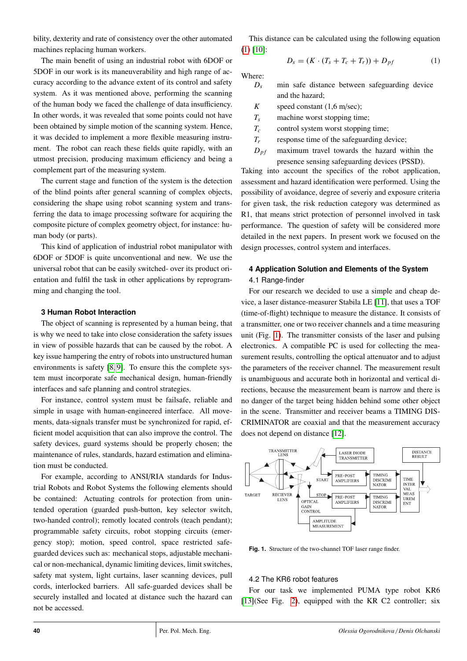bility, dexterity and rate of consistency over the other automated machines replacing human workers.

The main benefit of using an industrial robot with 6DOF or 5DOF in our work is its maneuverability and high range of accuracy according to the advance extent of its control and safety system. As it was mentioned above, performing the scanning of the human body we faced the challenge of data insufficiency. In other words, it was revealed that some points could not have been obtained by simple motion of the scanning system. Hence, it was decided to implement a more flexible measuring instrument. The robot can reach these fields quite rapidly, with an utmost precision, producing maximum efficiency and being a complement part of the measuring system.

The current stage and function of the system is the detection of the blind points after general scanning of complex objects, considering the shape using robot scanning system and transferring the data to image processing software for acquiring the composite picture of complex geometry object, for instance: human body (or parts).

This kind of application of industrial robot manipulator with 6DOF or 5DOF is quite unconventional and new. We use the universal robot that can be easily switched- over its product orientation and fulfil the task in other applications by reprogramming and changing the tool.

#### **3 Human Robot Interaction**

The object of scanning is represented by a human being, that is why we need to take into close consideration the safety issues in view of possible hazards that can be caused by the robot. A key issue hampering the entry of robots into unstructured human environments is safety [\[8,](#page-5-6) [9\]](#page-5-7). To ensure this the complete system must incorporate safe mechanical design, human-friendly interfaces and safe planning and control strategies.

For instance, control system must be failsafe, reliable and simple in usage with human-engineered interface. All movements, data-signals transfer must be synchronized for rapid, efficient model acquisition that can also improve the control. The safety devices, guard systems should be properly chosen; the maintenance of rules, standards, hazard estimation and elimination must be conducted.

For example, according to ANSI/RIA standards for Industrial Robots and Robot Systems the following elements should be contained: Actuating controls for protection from unintended operation (guarded push-button, key selector switch, two-handed control); remotly located controls (teach pendant); programmable safety circuits, robot stopping circuits (emergency stop); motion, speed control, space restricted safeguarded devices such as: mechanical stops, adjustable mechanical or non-mechanical, dynamic limiting devices, limit switches, safety mat system, light curtains, laser scanning devices, pull cords, interlocked barriers. All safe-guarded devices shall be securely installed and located at distance such the hazard can not be accessed.

This distance can be calculated using the following equation  $(1)$  [\[10\]](#page-5-8):

<span id="page-1-0"></span>
$$
D_s = (K \cdot (T_s + T_c + T_r)) + D_{pf}
$$
 (1)

Where:

- $D_s$  min safe distance between safeguarding device and the hazard;
- *K* speed constant (1,6 m/sec);
- *T<sup>s</sup>* machine worst stopping time;
- *T<sup>c</sup>* control system worst stopping time;
- *T<sub>r</sub>* response time of the safeguarding device;
- $D_{pf}$  maximum travel towards the hazard within the presence sensing safeguarding devices (PSSD).

Taking into account the specifics of the robot application, assessment and hazard identification were performed. Using the possibility of avoidance, degree of severiy and exposure criteria for given task, the risk reduction category was determined as R1, that means strict protection of personnel involved in task performance. The question of safety will be considered more detailed in the next papers. In present work we focused on the design processes, control system and interfaces.

# <span id="page-1-1"></span>**4 Application Solution and Elements of the System** 4.1 Range-finder

For our research we decided to use a simple and cheap device, a laser distance-measurer Stabila LE [\[11\]](#page-5-9), that uses a TOF (time-of-flight) technique to measure the distance. It consists of a transmitter, one or two receiver channels and a time measuring unit (Fig. [1\)](#page-1-1). The transmitter consists of the laser and pulsing electronics. A compatible PC is used for collecting the measurement results, controlling the optical attenuator and to adjust the parameters of the receiver channel. The measurement result is unambiguous and accurate both in horizontal and vertical directions, because the measurement beam is narrow and there is no danger of the target being hidden behind some other object in the scene. Transmitter and receiver beams a TIMING DIS-CRIMINATOR are coaxial and that the measurement accuracy does not depend on distance [\[12\]](#page-5-10).



**Fig. 1.** Structure of the two-channel TOF laser range finder.

#### <span id="page-1-2"></span>4.2 The KR6 robot features

For our task we implemented PUMA type robot KR6 [\[13\]](#page-5-11)(See Fig. [2\)](#page-1-2), equipped with the KR C2 controller; six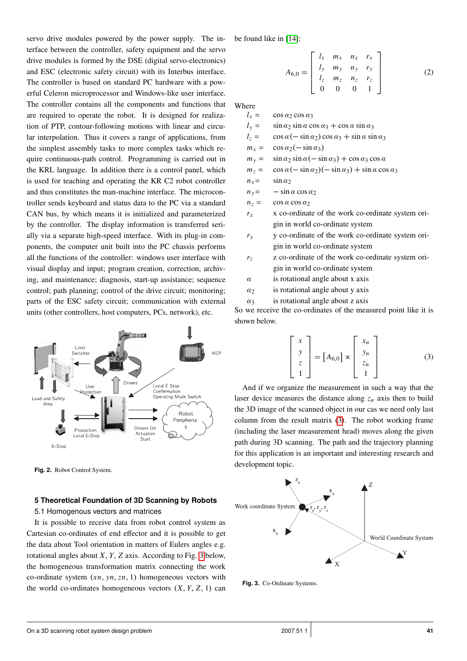servo drive modules powered by the power supply. The interface between the controller, safety equipment and the servo drive modules is formed by the DSE (digital servo-electronics) and ESC (electronic safety circuit) with its Interbus interface. The controller is based on standard PC hardware with a powerful Celeron microprocessor and Windows-like user interface. The controller contains all the components and functions that are required to operate the robot. It is designed for realization of PTP, contour-following motions with linear and circular interpolation. Thus it covers a range of applications, from the simplest assembly tasks to more complex tasks which require continuous-path control. Programming is carried out in the KRL language. In addition there is a control panel, which is used for teaching and operating the KR C2 robot controller and thus constitutes the man-machine interface. The microcontroller sends keyboard and status data to the PC via a standard CAN bus, by which means it is initialized and parameterized by the controller. The display information is transferred serially via a separate high-speed interface. With its plug-in components, the computer unit built into the PC chassis performs all the functions of the controller: windows user interface with visual display and input; program creation, correction, archiving, and maintenance; diagnosis, start-up assistance; sequence control; path planning; control of the drive circuit; monitoring; parts of the ESC safety circuit; communication with external units (other controllers, host computers, PCs, network), etc.



**Fig. 2.** Robot Control System.

# <span id="page-2-1"></span>**5 Theoretical Foundation of 3D Scanning by Robots**

#### 5.1 Homogenous vectors and matrices

It is possible to receive data from robot control system as Cartesian co-ordinates of end effector and it is possible to get the data about Tool orientation in matters of Eulers angles e.g. rotational angles about *X*, *Y*, *Z* axis. According to Fig. [3](#page-2-0) below, the homogeneous transformation matrix connecting the work co-ordinate system (*xn*, *yn*,*zn*, 1) homogeneous vectors with the world co-ordinates homogeneous vectors  $(X, Y, Z, 1)$  can be found like in [\[14\]](#page-5-12):

$$
A_{6,0} = \begin{bmatrix} l_x & m_x & n_x & r_x \\ l_y & m_y & n_y & r_y \\ l_z & m_z & n_z & r_z \\ 0 & 0 & 0 & 1 \end{bmatrix}
$$
 (2)

Where

 $l_x = \cos \alpha_2 \cos \alpha_3$  $l_v = \sin \alpha_2 \sin \alpha \cos \alpha_3 + \cos \alpha \sin \alpha_3$  $l_z = \cos \alpha (-\sin \alpha_2) \cos \alpha_3 + \sin \alpha \sin \alpha_3$  $m_x = \cos \alpha_2 (-\sin \alpha_3)$  $m_y = \sin \alpha_2 \sin \alpha (-\sin \alpha_3) + \cos \alpha_3 \cos \alpha$  $m_z = \cos \alpha (-\sin \alpha_2)(-\sin \alpha_3) + \sin \alpha \cos \alpha_3$  $n_x = \sin \alpha_2$  $n_y = -\sin\alpha\cos\alpha_2$  $n_z = \cos \alpha \cos \alpha_2$  $r<sub>x</sub>$  x co-ordinate of the work co-ordinate system origin in world co-ordinate system *r<sup>y</sup>* y co-ordinate of the work co-ordinate system ori-

gin in world co-ordinate system

- *r<sup>z</sup>* z co-ordinate of the work co-ordinate system origin in world co-ordinate system
- $\alpha$  is rotational angle about x axis
- $\alpha_2$  is rotational angle about y axis
- $\alpha_3$  is rotational angle about z axis

<span id="page-2-0"></span>So we receive the co-ordinates of the measured point like it is shown below.

$$
\begin{bmatrix} x \\ y \\ z \\ 1 \end{bmatrix} = [A_{6,0}] \times \begin{bmatrix} x_n \\ y_n \\ z_n \\ 1 \end{bmatrix}
$$
 (3)

And if we organize the measurement in such a way that the laser device measures the distance along  $z_n$  axis then to build the 3D image of the scanned object in our cas we need only last column from the result matrix [\(3\)](#page-2-0). The robot working frame (including the laser measurement head) moves along the given path during 3D scanning. The path and the trajectory planning for this application is an important and interesting research and development topic.



**Fig. 3.** Co-Ordinate Systems.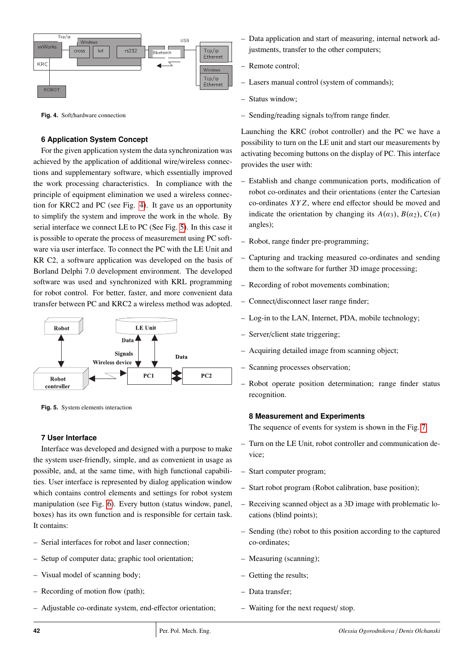

**Fig. 4.** Soft/hardware connection

# <span id="page-3-0"></span>**6 Application System Concept**

For the given application system the data synchronization was achieved by the application of additional wire/wireless connections and supplementary software, which essentially improved the work processing characteristics. In compliance with the principle of equipment elimination we used a wireless connection for KRC2 and PC (see Fig. [4\)](#page-2-0). It gave us an opportunity to simplify the system and improve the work in the whole. By serial interface we connect LE to PC (See Fig. [5\)](#page-3-0). In this case it is possible to operate the process of measurement using PC software via user interface. To connect the PC with the LE Unit and KR C2, a software application was developed on the basis of Borland Delphi 7.0 development environment. The developed software was used and synchronized with KRL programming for robot control. For better, faster, and more convenient data transfer between PC and KRC2 a wireless method was adopted.



**Fig. 5.** System elements interaction

# **7 User Interface**

Interface was developed and designed with a purpose to make the system user-friendly, simple, and as convenient in usage as possible, and, at the same time, with high functional capabilities. User interface is represented by dialog application window which contains control elements and settings for robot system manipulation (see Fig. [6\)](#page-3-1). Every button (status window, panel, boxes) has its own function and is responsible for certain task. It contains:

- Serial interfaces for robot and laser connection;
- Setup of computer data; graphic tool orientation;
- Visual model of scanning body;
- Recording of motion flow (path);
- Adjustable co-ordinate system, end-effector orientation;
- Data application and start of measuring, internal network adjustments, transfer to the other computers;
- Remote control;
- Lasers manual control (system of commands);
- Status window;
- Sending/reading signals to/from range finder.

Launching the KRC (robot controller) and the PC we have a possibility to turn on the LE unit and start our measurements by activating becoming buttons on the display of PC. This interface provides the user with:

- Establish and change communication ports, modification of robot co-ordinates and their orientations (enter the Cartesian co-ordinates *XY Z*, where end effector should be moved and indicate the orientation by changing its  $A(\alpha_3)$ ,  $B(\alpha_2)$ ,  $C(\alpha)$ angles);
- Robot, range finder pre-programming;
- Capturing and tracking measured co-ordinates and sending them to the software for further 3D image processing;
- Recording of robot movements combination;
- Connect/disconnect laser range finder;
- Log-in to the LAN, Internet, PDA, mobile technology;
- Server/client state triggering;
- Acquiring detailed image from scanning object;
- Scanning processes observation;
- Robot operate position determination; range finder status recognition.

# <span id="page-3-1"></span>**8 Measurement and Experiments**

The sequence of events for system is shown in the Fig. [7:](#page-3-1)

- Turn on the LE Unit, robot controller and communication device;
- Start computer program;
- Start robot program (Robot calibration, base position);
- Receiving scanned object as a 3D image with problematic locations (blind points);
- Sending (the) robot to this position according to the captured co-ordinates;
- Measuring (scanning);
- Getting the results;
- Data transfer;
- Waiting for the next request/ stop.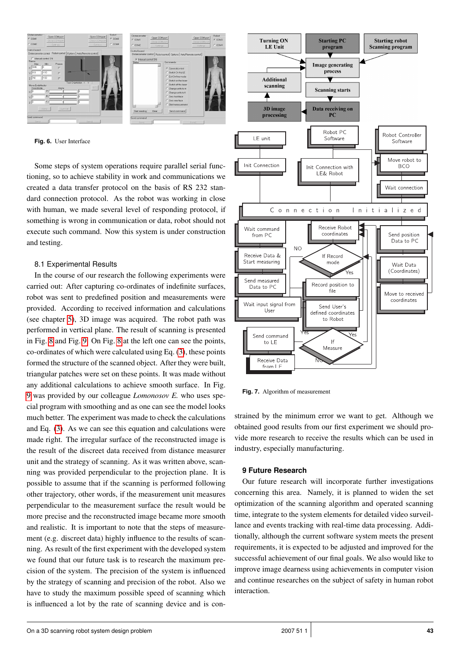

**Fig. 6.** User Interface

Some steps of system operations require parallel serial functioning, so to achieve stability in work and communications we created a data transfer protocol on the basis of RS 232 standard connection protocol. As the robot was working in close with human, we made several level of responding protocol, if something is wrong in communication or data, robot should not execute such command. Now this system is under construction and testing.

#### 8.1 Experimental Results

In the course of our research the following experiments were carried out: After capturing co-ordinates of indefinite surfaces, robot was sent to predefined position and measurements were provided. According to received information and calculations (see chapter [5\)](#page-2-1), 3D image was acquired. The robot path was performed in vertical plane. The result of scanning is presented in Fig. [8](#page-5-13) and Fig. [9.](#page-5-13) On Fig. [8](#page-5-13) at the left one can see the points, co-ordinates of which were calculated using Eq. [\(3\)](#page-2-0), these points formed the structure of the scanned object. After they were built, triangular patches were set on these points. It was made without any additional calculations to achieve smooth surface. In Fig. [9](#page-5-13) was provided by our colleague *Lomonosov E.* who uses special program with smoothing and as one can see the model looks much better. The experiment was made to check the calculations and Eq. [\(3\)](#page-2-0). As we can see this equation and calculations were made right. The irregular surface of the reconstructed image is the result of the discreet data received from distance measurer unit and the strategy of scanning. As it was written above, scanning was provided perpendicular to the projection plane. It is possible to assume that if the scanning is performed following other trajectory, other words, if the measurement unit measures perpendicular to the measurement surface the result would be more precise and the reconstructed image became more smooth and realistic. It is important to note that the steps of measurement (e.g. discreet data) highly influence to the results of scanning. As result of the first experiment with the developed system we found that our future task is to research the maximum precision of the system. The precision of the system is influenced by the strategy of scanning and precision of the robot. Also we have to study the maximum possible speed of scanning which is influenced a lot by the rate of scanning device and is con-



**Fig. 7.** Algorithm of measurement

strained by the minimum error we want to get. Although we obtained good results from our first experiment we should provide more research to receive the results which can be used in industry, especially manufacturing.

#### **9 Future Research**

Our future research will incorporate further investigations concerning this area. Namely, it is planned to widen the set optimization of the scanning algorithm and operated scanning time, integrate to the system elements for detailed video surveillance and events tracking with real-time data processing. Additionally, although the current software system meets the present requirements, it is expected to be adjusted and improved for the successful achievement of our final goals. We also would like to improve image dearness using achievements in computer vision and continue researches on the subject of safety in human robot interaction.